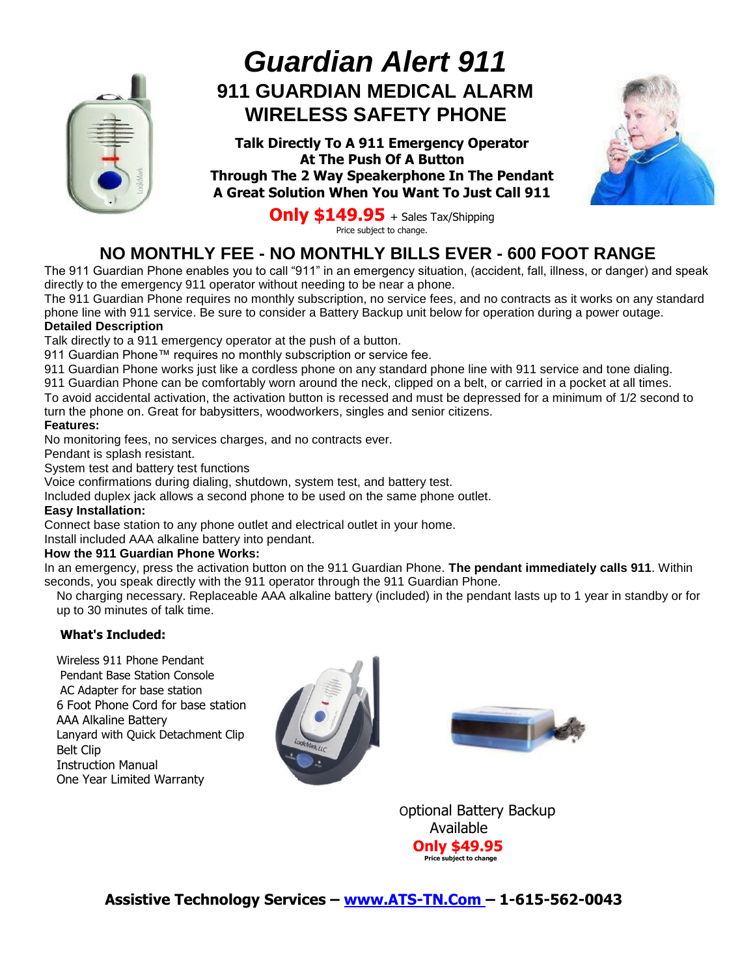

# *Guardian Alert 911* **911 GUARDIAN MEDICAL ALARM WIRELESS SAFETY PHONE**

**Talk Directly To A 911 Emergency Operator At The Push Of A Button Through The 2 Way Speakerphone In The Pendant A Great Solution When You Want To Just Call 911**



**Only \$149.95** + Sales Tax/Shipping Price subject to change.

## **NO MONTHLY FEE - NO MONTHLY BILLS EVER - 600 FOOT RANGE**

The 911 Guardian Phone enables you to call "911" in an emergency situation, (accident, fall, illness, or danger) and speak directly to the emergency 911 operator without needing to be near a phone.

The 911 Guardian Phone requires no monthly subscription, no service fees, and no contracts as it works on any standard phone line with 911 service. Be sure to consider a Battery Backup unit below for operation during a power outage. **Detailed Description**

Talk directly to a 911 emergency operator at the push of a button.

911 Guardian Phone™ requires no monthly subscription or service fee.

911 Guardian Phone works just like a cordless phone on any standard phone line with 911 service and tone dialing.

911 Guardian Phone can be comfortably worn around the neck, clipped on a belt, or carried in a pocket at all times. To avoid accidental activation, the activation button is recessed and must be depressed for a minimum of 1/2 second to turn the phone on. Great for babysitters, woodworkers, singles and senior citizens.

#### **Features:**

No monitoring fees, no services charges, and no contracts ever.

Pendant is splash resistant.

System test and battery test functions

Voice confirmations during dialing, shutdown, system test, and battery test.

Included duplex jack allows a second phone to be used on the same phone outlet.

### **Easy Installation:**

Connect base station to any phone outlet and electrical outlet in your home.

Install included AAA alkaline battery into pendant.

#### **How the 911 Guardian Phone Works:**

In an emergency, press the activation button on the 911 Guardian Phone. **The pendant immediately calls 911**. Within seconds, you speak directly with the 911 operator through the 911 Guardian Phone.

No charging necessary. Replaceable AAA alkaline battery (included) in the pendant lasts up to 1 year in standby or for up to 30 minutes of talk time.

### **What's Included:**

Wireless 911 Phone Pendant Pendant Base Station Console AC Adapter for base station 6 Foot Phone Cord for base station AAA Alkaline Battery Lanyard with Quick Detachment Clip Belt Clip Instruction Manual One Year Limited Warranty





 Optional Battery Backup Available  **Only \$49.95 Price subject to change**

 **Assistive Technology Services – [www.ATS-TN.Com](http://www.ats-tn.com/) – 1-615-562-0043**